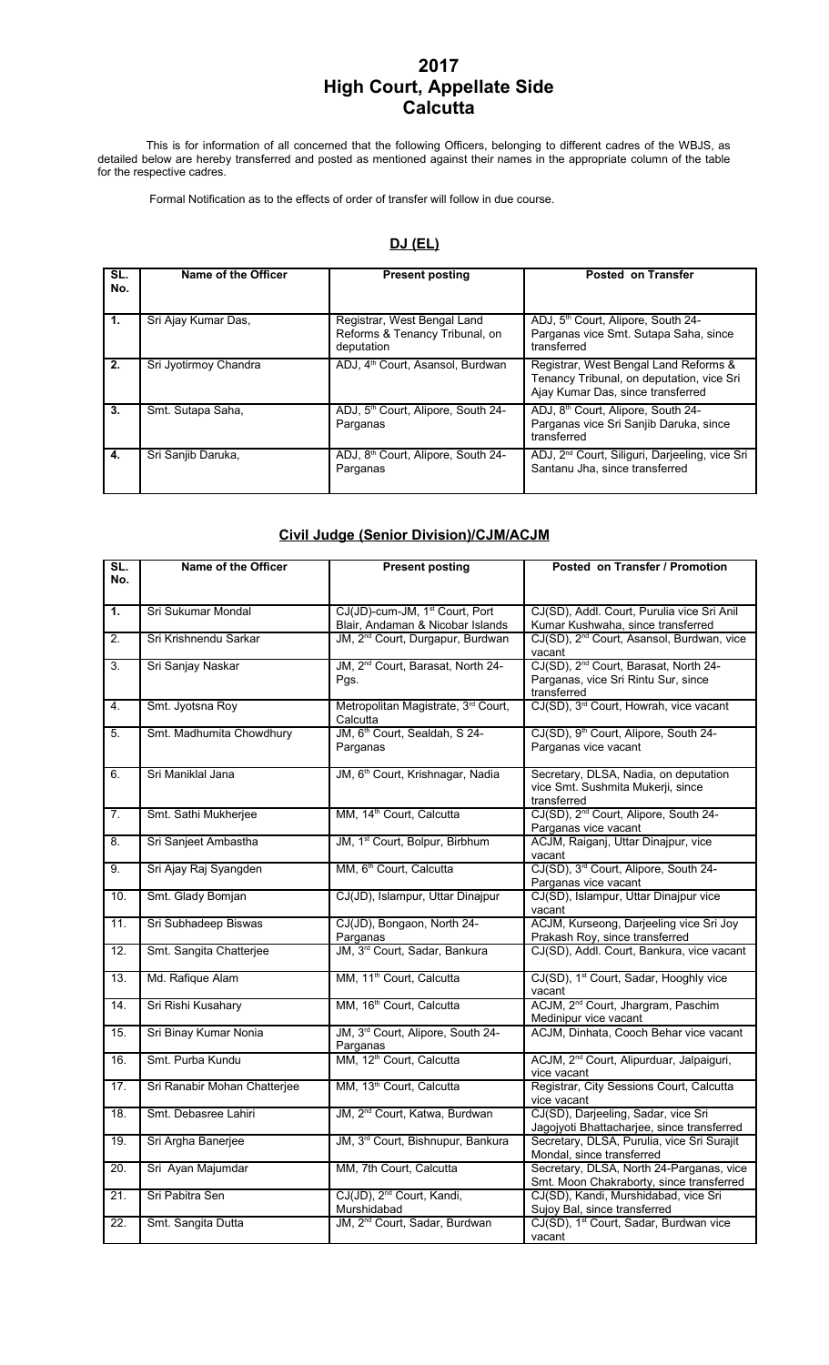## **2017 High Court, Appellate Side Calcutta**

This is for information of all concerned that the following Officers, belonging to different cadres of the WBJS, as detailed below are hereby transferred and posted as mentioned against their names in the appropriate column of the table for the respective cadres.

Formal Notification as to the effects of order of transfer will follow in due course.

#### **DJ (EL)**

| SL.<br>No. | Name of the Officer   | <b>Present posting</b>                                                      | <b>Posted on Transfer</b>                                                                                               |
|------------|-----------------------|-----------------------------------------------------------------------------|-------------------------------------------------------------------------------------------------------------------------|
| 1.         | Sri Ajay Kumar Das,   | Registrar, West Bengal Land<br>Reforms & Tenancy Tribunal, on<br>deputation | ADJ, 5 <sup>th</sup> Court, Alipore, South 24-<br>Parganas vice Smt. Sutapa Saha, since<br>transferred                  |
| 2.         | Sri Jyotirmoy Chandra | ADJ, 4 <sup>th</sup> Court, Asansol, Burdwan                                | Registrar, West Bengal Land Reforms &<br>Tenancy Tribunal, on deputation, vice Sri<br>Ajay Kumar Das, since transferred |
| 3.         | Smt. Sutapa Saha,     | ADJ, 5 <sup>th</sup> Court, Alipore, South 24-<br>Parganas                  | ADJ, 8 <sup>th</sup> Court, Alipore, South 24-<br>Parganas vice Sri Sanjib Daruka, since<br>transferred                 |
| 4.         | Sri Sanjib Daruka,    | ADJ, 8 <sup>th</sup> Court, Alipore, South 24-<br>Parganas                  | ADJ, 2 <sup>nd</sup> Court, Siliguri, Darjeeling, vice Sri<br>Santanu Jha, since transferred                            |

### **Civil Judge (Senior Division)/CJM/ACJM**

| SL.<br>No.       | Name of the Officer          | <b>Present posting</b>                                | Posted on Transfer / Promotion                                                   |
|------------------|------------------------------|-------------------------------------------------------|----------------------------------------------------------------------------------|
|                  |                              |                                                       |                                                                                  |
| $\mathbf{1}$ .   | Sri Sukumar Mondal           | CJ(JD)-cum-JM, 1 <sup>st</sup> Court, Port            | CJ(SD), Addl. Court, Purulia vice Sri Anil                                       |
|                  |                              | Blair, Andaman & Nicobar Islands                      | Kumar Kushwaha, since transferred                                                |
| 2.               | Sri Krishnendu Sarkar        | JM, 2 <sup>nd</sup> Court, Durgapur, Burdwan          | CJ(SD), 2 <sup>nd</sup> Court, Asansol, Burdwan, vice                            |
|                  |                              |                                                       | vacant                                                                           |
| $\overline{3}$ . | Sri Sanjay Naskar            | JM, 2 <sup>nd</sup> Court, Barasat, North 24-         | CJ(SD), 2 <sup>nd</sup> Court, Barasat, North 24-                                |
|                  |                              | Pgs.                                                  | Parganas, vice Sri Rintu Sur, since                                              |
|                  |                              |                                                       | transferred                                                                      |
| 4.               | Smt. Jyotsna Roy             | Metropolitan Magistrate, 3rd Court,<br>Calcutta       | CJ(SD), 3 <sup>rd</sup> Court, Howrah, vice vacant                               |
| 5.               | Smt. Madhumita Chowdhury     | JM, 6 <sup>th</sup> Court, Sealdah, S 24-             | CJ(SD), 9 <sup>th</sup> Court, Alipore, South 24-                                |
|                  |                              | Parganas                                              | Parganas vice vacant                                                             |
|                  |                              |                                                       |                                                                                  |
| 6.               | Sri Maniklal Jana            | JM, 6 <sup>th</sup> Court, Krishnagar, Nadia          | Secretary, DLSA, Nadia, on deputation                                            |
|                  |                              |                                                       | vice Smt. Sushmita Mukerji, since                                                |
|                  |                              |                                                       | transferred                                                                      |
| 7.               | Smt. Sathi Mukherjee         | MM, 14 <sup>th</sup> Court, Calcutta                  | CJ(SD), 2 <sup>nd</sup> Court, Alipore, South 24-                                |
| 8.               | Sri Sanjeet Ambastha         | JM, 1 <sup>st</sup> Court, Bolpur, Birbhum            | Parganas vice vacant<br>ACJM, Raiganj, Uttar Dinajpur, vice                      |
|                  |                              |                                                       | vacant                                                                           |
| 9.               | Sri Ajay Raj Syangden        | MM, 6 <sup>th</sup> Court, Calcutta                   | CJ(SD), 3rd Court, Alipore, South 24-                                            |
|                  |                              |                                                       | Parganas vice vacant                                                             |
| 10.              | Smt. Glady Bomjan            | CJ(JD), Islampur, Uttar Dinajpur                      | CJ(SD), Islampur, Uttar Dinajpur vice                                            |
|                  |                              |                                                       | vacant                                                                           |
| 11.              | Sri Subhadeep Biswas         | CJ(JD), Bongaon, North 24-                            | ACJM, Kurseong, Darjeeling vice Sri Joy                                          |
| 12.              | Smt. Sangita Chatterjee      | Parganas<br>JM, 3 <sup>rd</sup> Court, Sadar, Bankura | Prakash Roy, since transferred<br>CJ(SD), Addl. Court, Bankura, vice vacant      |
|                  |                              |                                                       |                                                                                  |
| 13.              | Md. Rafique Alam             | MM, 11 <sup>th</sup> Court, Calcutta                  | CJ(SD), 1 <sup>st</sup> Court, Sadar, Hooghly vice                               |
|                  |                              |                                                       | vacant                                                                           |
| 14.              | Sri Rishi Kusahary           | MM, 16 <sup>th</sup> Court, Calcutta                  | ACJM, 2 <sup>nd</sup> Court, Jhargram, Paschim                                   |
|                  |                              |                                                       | Medinipur vice vacant                                                            |
| 15.              | Sri Binay Kumar Nonia        | JM, 3rd Court, Alipore, South 24-                     | ACJM, Dinhata, Cooch Behar vice vacant                                           |
|                  | Smt. Purba Kundu             | Parganas<br>MM, 12 <sup>th</sup> Court, Calcutta      | ACJM, 2 <sup>nd</sup> Court, Alipurduar, Jalpaiguri,                             |
| 16.              |                              |                                                       | vice vacant                                                                      |
| 17.              | Sri Ranabir Mohan Chatterjee | MM, 13 <sup>th</sup> Court, Calcutta                  | Registrar, City Sessions Court, Calcutta                                         |
|                  |                              |                                                       | vice vacant                                                                      |
| 18.              | Smt. Debasree Lahiri         | JM, 2 <sup>nd</sup> Court, Katwa, Burdwan             | CJ(SD), Darjeeling, Sadar, vice Sri                                              |
|                  |                              |                                                       | Jagojyoti Bhattacharjee, since transferred                                       |
| 19.              | Sri Argha Banerjee           | JM, 3 <sup>rd</sup> Court, Bishnupur, Bankura         | Secretary, DLSA, Purulia, vice Sri Surajit                                       |
|                  |                              |                                                       | Mondal, since transferred                                                        |
| 20.              | Sri Ayan Majumdar            | MM, 7th Court, Calcutta                               | Secretary, DLSA, North 24-Parganas, vice                                         |
| 21.              | Sri Pabitra Sen              | CJ(JD), 2 <sup>nd</sup> Court, Kandi,                 | Smt. Moon Chakraborty, since transferred<br>CJ(SD), Kandi, Murshidabad, vice Sri |
|                  |                              | Murshidabad                                           | Sujoy Bal, since transferred                                                     |
| 22.              | Smt. Sangita Dutta           | JM, 2 <sup>nd</sup> Court, Sadar, Burdwan             | CJ(SD), 1 <sup>st</sup> Court, Sadar, Burdwan vice                               |
|                  |                              |                                                       | vacant                                                                           |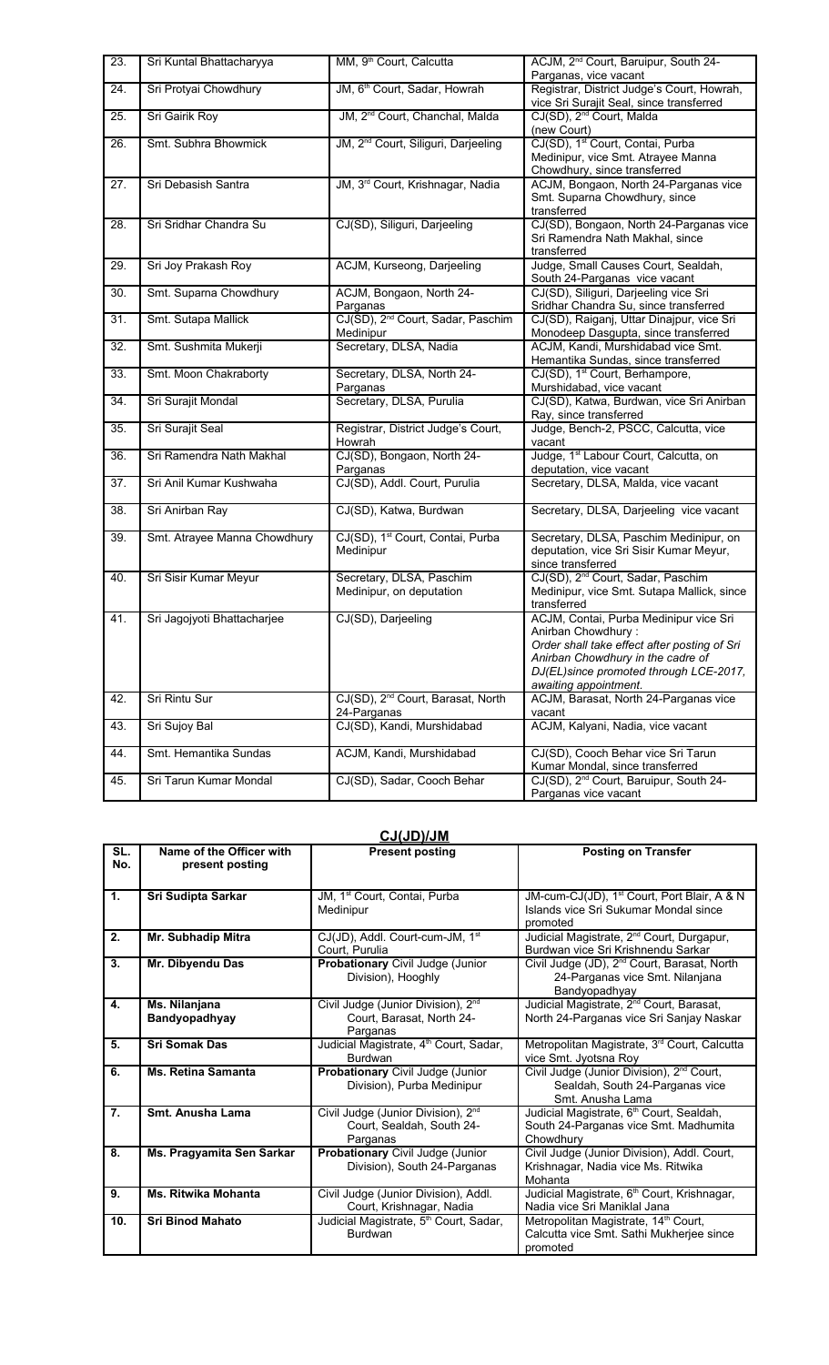| 23. | Sri Kuntal Bhattacharyya     | MM, 9 <sup>th</sup> Court, Calcutta                          | ACJM, 2 <sup>nd</sup> Court, Baruipur, South 24-<br>Parganas, vice vacant                                                                                                                                            |
|-----|------------------------------|--------------------------------------------------------------|----------------------------------------------------------------------------------------------------------------------------------------------------------------------------------------------------------------------|
| 24. | Sri Protyai Chowdhury        | JM, 6 <sup>th</sup> Court, Sadar, Howrah                     | Registrar, District Judge's Court, Howrah,<br>vice Sri Surajit Seal, since transferred                                                                                                                               |
| 25. | Sri Gairik Roy               | JM, 2 <sup>nd</sup> Court, Chanchal, Malda                   | CJ(SD), 2 <sup>nd</sup> Court, Malda<br>(new Court)                                                                                                                                                                  |
| 26. | Smt. Subhra Bhowmick         | JM, 2 <sup>nd</sup> Court, Siliguri, Darjeeling              | CJ(SD), 1 <sup>st</sup> Court, Contai, Purba<br>Medinipur, vice Smt. Atrayee Manna<br>Chowdhury, since transferred                                                                                                   |
| 27. | Sri Debasish Santra          | JM, 3rd Court, Krishnagar, Nadia                             | ACJM, Bongaon, North 24-Parganas vice<br>Smt. Suparna Chowdhury, since<br>transferred                                                                                                                                |
| 28. | Sri Sridhar Chandra Su       | CJ(SD), Siliguri, Darjeeling                                 | CJ(SD), Bongaon, North 24-Parganas vice<br>Sri Ramendra Nath Makhal, since<br>transferred                                                                                                                            |
| 29. | Sri Joy Prakash Roy          | ACJM, Kurseong, Darjeeling                                   | Judge, Small Causes Court, Sealdah,<br>South 24-Parganas vice vacant                                                                                                                                                 |
| 30. | Smt. Suparna Chowdhury       | ACJM, Bongaon, North 24-<br>Parganas                         | CJ(SD), Siliguri, Darjeeling vice Sri<br>Sridhar Chandra Su, since transferred                                                                                                                                       |
| 31. | Smt. Sutapa Mallick          | CJ(SD), 2 <sup>nd</sup> Court, Sadar, Paschim<br>Medinipur   | CJ(SD), Raiganj, Uttar Dinajpur, vice Sri<br>Monodeep Dasgupta, since transferred                                                                                                                                    |
| 32. | Smt. Sushmita Mukerji        | Secretary, DLSA, Nadia                                       | ACJM, Kandi, Murshidabad vice Smt.<br>Hemantika Sundas, since transferred                                                                                                                                            |
| 33. | Smt. Moon Chakraborty        | Secretary, DLSA, North 24-<br>Parganas                       | CJ(SD), 1 <sup>st</sup> Court, Berhampore,<br>Murshidabad, vice vacant                                                                                                                                               |
| 34. | Sri Surajit Mondal           | Secretary, DLSA, Purulia                                     | CJ(SD), Katwa, Burdwan, vice Sri Anirban<br>Ray, since transferred                                                                                                                                                   |
| 35. | Sri Surajit Seal             | Registrar, District Judge's Court,<br>Howrah                 | Judge, Bench-2, PSCC, Calcutta, vice<br>vacant                                                                                                                                                                       |
| 36. | Sri Ramendra Nath Makhal     | CJ(SD), Bongaon, North 24-<br>Parganas                       | Judge, 1 <sup>st</sup> Labour Court, Calcutta, on<br>deputation, vice vacant                                                                                                                                         |
| 37. | Sri Anil Kumar Kushwaha      | CJ(SD), Addl. Court, Purulia                                 | Secretary, DLSA, Malda, vice vacant                                                                                                                                                                                  |
| 38. | Sri Anirban Ray              | CJ(SD), Katwa, Burdwan                                       | Secretary, DLSA, Darjeeling vice vacant                                                                                                                                                                              |
| 39. | Smt. Atrayee Manna Chowdhury | CJ(SD), 1 <sup>st</sup> Court, Contai, Purba<br>Medinipur    | Secretary, DLSA, Paschim Medinipur, on<br>deputation, vice Sri Sisir Kumar Meyur,<br>since transferred                                                                                                               |
| 40. | Sri Sisir Kumar Meyur        | Secretary, DLSA, Paschim<br>Medinipur, on deputation         | CJ(SD), 2 <sup>nd</sup> Court, Sadar, Paschim<br>Medinipur, vice Smt. Sutapa Mallick, since<br>transferred                                                                                                           |
| 41. | Sri Jagojyoti Bhattacharjee  | CJ(SD), Darjeeling                                           | ACJM, Contai, Purba Medinipur vice Sri<br>Anirban Chowdhury:<br>Order shall take effect after posting of Sri<br>Anirban Chowdhury in the cadre of<br>DJ(EL)since promoted through LCE-2017,<br>awaiting appointment. |
| 42. | Sri Rintu Sur                | CJ(SD), 2 <sup>nd</sup> Court, Barasat, North<br>24-Parganas | ACJM, Barasat, North 24-Parganas vice<br>vacant                                                                                                                                                                      |
| 43. | Sri Sujoy Bal                | CJ(SD), Kandi, Murshidabad                                   | ACJM, Kalyani, Nadia, vice vacant                                                                                                                                                                                    |
| 44. | Smt. Hemantika Sundas        | ACJM, Kandi, Murshidabad                                     | CJ(SD), Cooch Behar vice Sri Tarun<br>Kumar Mondal, since transferred                                                                                                                                                |
| 45. | Sri Tarun Kumar Mondal       | CJ(SD), Sadar, Cooch Behar                                   | CJ(SD), 2 <sup>nd</sup> Court, Baruipur, South 24-<br>Parganas vice vacant                                                                                                                                           |

### **CJ(JD)/JM**

| SL.<br>No. | Name of the Officer with<br>present posting | <b>Present posting</b>                                                                  | <b>Posting on Transfer</b>                                                                                   |
|------------|---------------------------------------------|-----------------------------------------------------------------------------------------|--------------------------------------------------------------------------------------------------------------|
| 1.         | Sri Sudipta Sarkar                          | JM, 1 <sup>st</sup> Court, Contai, Purba<br>Medinipur                                   | JM-cum-CJ(JD), 1 <sup>st</sup> Court, Port Blair, A & N<br>Islands vice Sri Sukumar Mondal since<br>promoted |
| 2.         | Mr. Subhadip Mitra                          | CJ(JD), Addl. Court-cum-JM, 1 <sup>st</sup><br>Court, Purulia                           | Judicial Magistrate, 2 <sup>nd</sup> Court, Durgapur,<br>Burdwan vice Sri Krishnendu Sarkar                  |
| 3.         | Mr. Dibyendu Das                            | Probationary Civil Judge (Junior<br>Division), Hooghly                                  | Civil Judge (JD), 2 <sup>nd</sup> Court, Barasat, North<br>24-Parganas vice Smt. Nilanjana<br>Bandyopadhyay  |
| 4.         | Ms. Nilanjana<br>Bandyopadhyay              | Civil Judge (Junior Division), 2 <sup>nd</sup><br>Court, Barasat, North 24-<br>Parganas | Judicial Magistrate, 2 <sup>nd</sup> Court, Barasat,<br>North 24-Parganas vice Sri Sanjay Naskar             |
| 5.         | <b>Sri Somak Das</b>                        | Judicial Magistrate, 4 <sup>th</sup> Court, Sadar,<br>Burdwan                           | Metropolitan Magistrate, 3 <sup>rd</sup> Court, Calcutta<br>vice Smt. Jyotsna Roy                            |
| 6.         | <b>Ms. Retina Samanta</b>                   | Probationary Civil Judge (Junior<br>Division), Purba Medinipur                          | Civil Judge (Junior Division), 2 <sup>nd</sup> Court,<br>Sealdah, South 24-Parganas vice<br>Smt. Anusha Lama |
| 7.         | Smt. Anusha Lama                            | Civil Judge (Junior Division), 2 <sup>nd</sup><br>Court, Sealdah, South 24-<br>Parganas | Judicial Magistrate, 6 <sup>th</sup> Court, Sealdah,<br>South 24-Parganas vice Smt. Madhumita<br>Chowdhurv   |
| 8.         | Ms. Pragyamita Sen Sarkar                   | Probationary Civil Judge (Junior<br>Division), South 24-Parganas                        | Civil Judge (Junior Division), Addl. Court,<br>Krishnagar, Nadia vice Ms. Ritwika<br>Mohanta                 |
| 9.         | <b>Ms. Ritwika Mohanta</b>                  | Civil Judge (Junior Division), Addl.<br>Court, Krishnagar, Nadia                        | Judicial Magistrate, 6 <sup>th</sup> Court, Krishnagar,<br>Nadia vice Sri Maniklal Jana                      |
| 10.        | <b>Sri Binod Mahato</b>                     | Judicial Magistrate, 5 <sup>th</sup> Court, Sadar,<br><b>Burdwan</b>                    | Metropolitan Magistrate, 14 <sup>th</sup> Court,<br>Calcutta vice Smt. Sathi Mukherjee since<br>promoted     |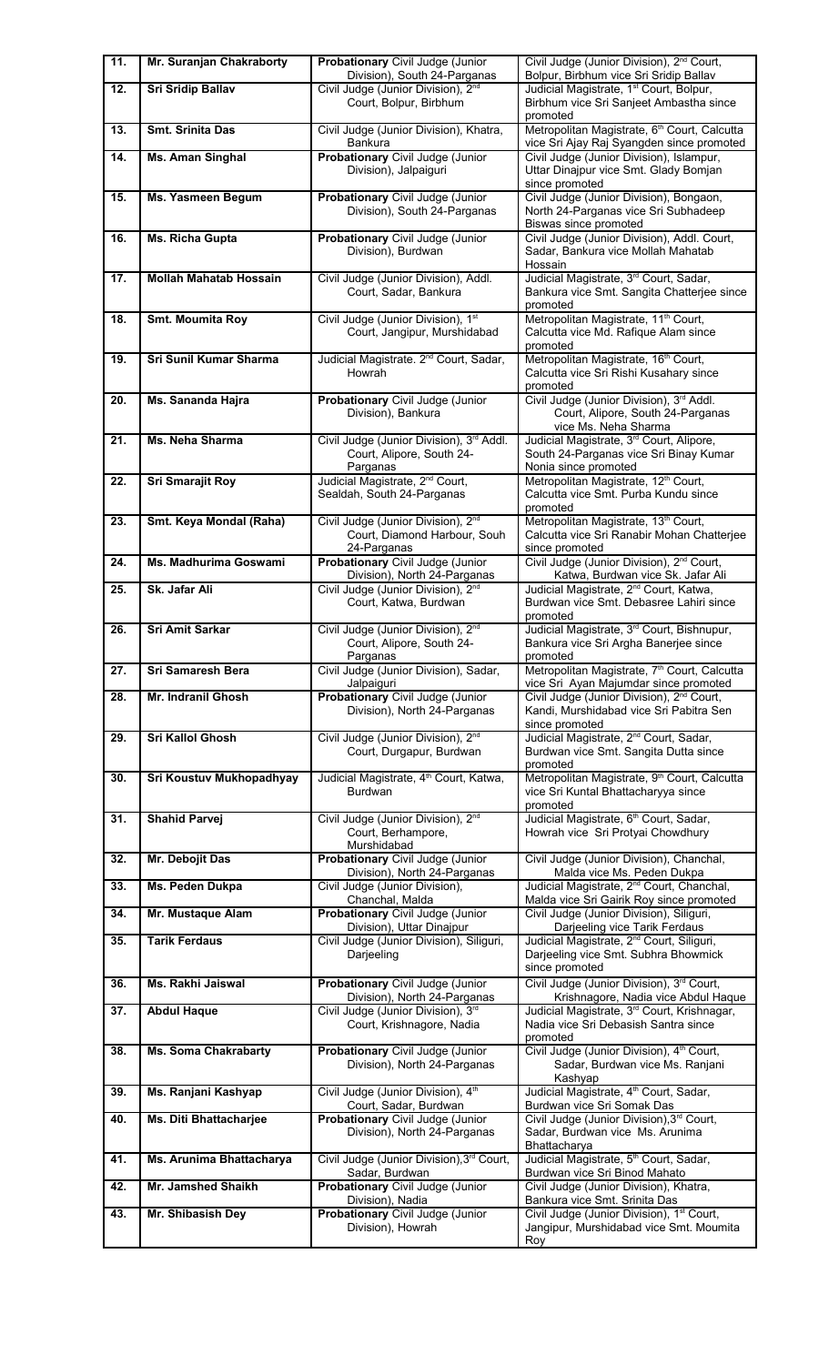| 11. | Mr. Suranjan Chakraborty      | Probationary Civil Judge (Junior<br>Division), South 24-Parganas                              | Civil Judge (Junior Division), 2 <sup>nd</sup> Court,<br>Bolpur, Birbhum vice Sri Sridip Ballav                    |
|-----|-------------------------------|-----------------------------------------------------------------------------------------------|--------------------------------------------------------------------------------------------------------------------|
| 12. | <b>Sri Sridip Ballav</b>      | Civil Judge (Junior Division), 2 <sup>nd</sup><br>Court, Bolpur, Birbhum                      | Judicial Magistrate, 1 <sup>st</sup> Court, Bolpur,<br>Birbhum vice Sri Sanjeet Ambastha since                     |
| 13. | <b>Smt. Srinita Das</b>       | Civil Judge (Junior Division), Khatra,<br>Bankura                                             | promoted<br>Metropolitan Magistrate, 6 <sup>th</sup> Court, Calcutta<br>vice Sri Ajay Raj Syangden since promoted  |
| 14. | <b>Ms. Aman Singhal</b>       | Probationary Civil Judge (Junior<br>Division), Jalpaiguri                                     | Civil Judge (Junior Division), Islampur,<br>Uttar Dinajpur vice Smt. Glady Bomjan<br>since promoted                |
| 15. | <b>Ms. Yasmeen Begum</b>      | <b>Probationary Civil Judge (Junior</b><br>Division), South 24-Parganas                       | Civil Judge (Junior Division), Bongaon,<br>North 24-Parganas vice Sri Subhadeep<br>Biswas since promoted           |
| 16. | Ms. Richa Gupta               | Probationary Civil Judge (Junior<br>Division), Burdwan                                        | Civil Judge (Junior Division), Addl. Court,<br>Sadar, Bankura vice Mollah Mahatab<br>Hossain                       |
| 17. | <b>Mollah Mahatab Hossain</b> | Civil Judge (Junior Division), Addl.<br>Court, Sadar, Bankura                                 | Judicial Magistrate, 3rd Court, Sadar,<br>Bankura vice Smt. Sangita Chatterjee since<br>promoted                   |
| 18. | <b>Smt. Moumita Roy</b>       | Civil Judge (Junior Division), 1st<br>Court, Jangipur, Murshidabad                            | Metropolitan Magistrate, 11 <sup>th</sup> Court,<br>Calcutta vice Md. Rafique Alam since<br>promoted               |
| 19. | Sri Sunil Kumar Sharma        | Judicial Magistrate. 2 <sup>nd</sup> Court, Sadar,<br>Howrah                                  | Metropolitan Magistrate, 16 <sup>th</sup> Court,<br>Calcutta vice Sri Rishi Kusahary since<br>promoted             |
| 20. | Ms. Sananda Hajra             | Probationary Civil Judge (Junior<br>Division), Bankura                                        | Civil Judge (Junior Division), 3rd Addl.<br>Court, Alipore, South 24-Parganas<br>vice Ms. Neha Sharma              |
| 21. | Ms. Neha Sharma               | Civil Judge (Junior Division), 3rd Addl.<br>Court, Alipore, South 24-<br>Parganas             | Judicial Magistrate, 3rd Court, Alipore,<br>South 24-Parganas vice Sri Binay Kumar<br>Nonia since promoted         |
| 22. | Sri Smarajit Roy              | Judicial Magistrate, 2 <sup>nd</sup> Court,<br>Sealdah, South 24-Parganas                     | Metropolitan Magistrate, 12 <sup>th</sup> Court,<br>Calcutta vice Smt. Purba Kundu since<br>promoted               |
| 23. | Smt. Keya Mondal (Raha)       | Civil Judge (Junior Division), 2 <sup>nd</sup><br>Court, Diamond Harbour, Souh<br>24-Parganas | Metropolitan Magistrate, 13 <sup>th</sup> Court,<br>Calcutta vice Sri Ranabir Mohan Chatterjee<br>since promoted   |
| 24. | Ms. Madhurima Goswami         | Probationary Civil Judge (Junior<br>Division), North 24-Parganas                              | Civil Judge (Junior Division), 2 <sup>nd</sup> Court,<br>Katwa, Burdwan vice Sk. Jafar Ali                         |
| 25. | Sk. Jafar Ali                 | Civil Judge (Junior Division), 2 <sup>nd</sup><br>Court, Katwa, Burdwan                       | Judicial Magistrate, 2 <sup>nd</sup> Court, Katwa,<br>Burdwan vice Smt. Debasree Lahiri since<br>promoted          |
| 26. | Sri Amit Sarkar               | Civil Judge (Junior Division), 2 <sup>nd</sup><br>Court, Alipore, South 24-<br>Parganas       | Judicial Magistrate, 3rd Court, Bishnupur,<br>Bankura vice Sri Argha Banerjee since<br>promoted                    |
| 27. | Sri Samaresh Bera             | Civil Judge (Junior Division), Sadar,<br>Jalpaiguri                                           | Metropolitan Magistrate, 7 <sup>th</sup> Court, Calcutta<br>vice Sri Ayan Majumdar since promoted                  |
| 28. | Mr. Indranil Ghosh            | Probationary Civil Judge (Junior<br>Division), North 24-Parganas                              | Civil Judge (Junior Division), 2 <sup>nd</sup> Court,<br>Kandi, Murshidabad vice Sri Pabitra Sen<br>since promoted |
| 29. | <b>Sri Kallol Ghosh</b>       | Civil Judge (Junior Division), 2 <sup>nd</sup><br>Court, Durgapur, Burdwan                    | Judicial Magistrate, 2 <sup>nd</sup> Court, Sadar,<br>Burdwan vice Smt. Sangita Dutta since<br>promoted            |
| 30. | Sri Koustuv Mukhopadhyay      | Judicial Magistrate, 4 <sup>th</sup> Court, Katwa,<br>Burdwan                                 | Metropolitan Magistrate, 9 <sup>th</sup> Court, Calcutta<br>vice Sri Kuntal Bhattacharyya since<br>promoted        |
| 31. | <b>Shahid Parvej</b>          | Civil Judge (Junior Division), 2 <sup>nd</sup><br>Court, Berhampore,<br>Murshidabad           | Judicial Magistrate, 6 <sup>th</sup> Court, Sadar,<br>Howrah vice Sri Protyai Chowdhury                            |
| 32. | Mr. Debojit Das               | Probationary Civil Judge (Junior<br>Division), North 24-Parganas                              | Civil Judge (Junior Division), Chanchal,<br>Malda vice Ms. Peden Dukpa                                             |
| 33. | Ms. Peden Dukpa               | Civil Judge (Junior Division),<br>Chanchal, Malda                                             | Judicial Magistrate, 2 <sup>nd</sup> Court, Chanchal,<br>Malda vice Sri Gairik Roy since promoted                  |
| 34. | Mr. Mustaque Alam             | Probationary Civil Judge (Junior<br>Division), Uttar Dinajpur                                 | Civil Judge (Junior Division), Siliguri,<br>Darjeeling vice Tarik Ferdaus                                          |
| 35. | <b>Tarik Ferdaus</b>          | Civil Judge (Junior Division), Siliguri,<br>Darjeeling                                        | Judicial Magistrate, 2 <sup>nd</sup> Court, Siliguri,<br>Darjeeling vice Smt. Subhra Bhowmick<br>since promoted    |
| 36. | Ms. Rakhi Jaiswal             | Probationary Civil Judge (Junior<br>Division), North 24-Parganas                              | Civil Judge (Junior Division), 3rd Court,<br>Krishnagore, Nadia vice Abdul Haque                                   |
| 37. | <b>Abdul Haque</b>            | Civil Judge (Junior Division), 3rd<br>Court, Krishnagore, Nadia                               | Judicial Magistrate, 3rd Court, Krishnagar,<br>Nadia vice Sri Debasish Santra since<br>promoted                    |
| 38. | <b>Ms. Soma Chakrabarty</b>   | Probationary Civil Judge (Junior<br>Division), North 24-Parganas                              | Civil Judge (Junior Division), 4 <sup>th</sup> Court,<br>Sadar, Burdwan vice Ms. Ranjani<br>Kashyap                |
| 39. | Ms. Ranjani Kashyap           | Civil Judge (Junior Division), 4th<br>Court, Sadar, Burdwan                                   | Judicial Magistrate, 4 <sup>th</sup> Court, Sadar,<br>Burdwan vice Sri Somak Das                                   |
| 40. | Ms. Diti Bhattacharjee        | Probationary Civil Judge (Junior<br>Division), North 24-Parganas                              | Civil Judge (Junior Division), 3rd Court,<br>Sadar, Burdwan vice Ms. Arunima<br>Bhattacharya                       |
| 41. | Ms. Arunima Bhattacharya      | Civil Judge (Junior Division), 3rd Court,<br>Sadar, Burdwan                                   | Judicial Magistrate, 5 <sup>th</sup> Court, Sadar,<br>Burdwan vice Sri Binod Mahato                                |
| 42. | <b>Mr. Jamshed Shaikh</b>     | <b>Probationary Civil Judge (Junior</b><br>Division), Nadia                                   | Civil Judge (Junior Division), Khatra,<br>Bankura vice Smt. Srinita Das                                            |
| 43. | Mr. Shibasish Dey             | Probationary Civil Judge (Junior<br>Division), Howrah                                         | Civil Judge (Junior Division), 1 <sup>st</sup> Court,<br>Jangipur, Murshidabad vice Smt. Moumita<br>Roy            |